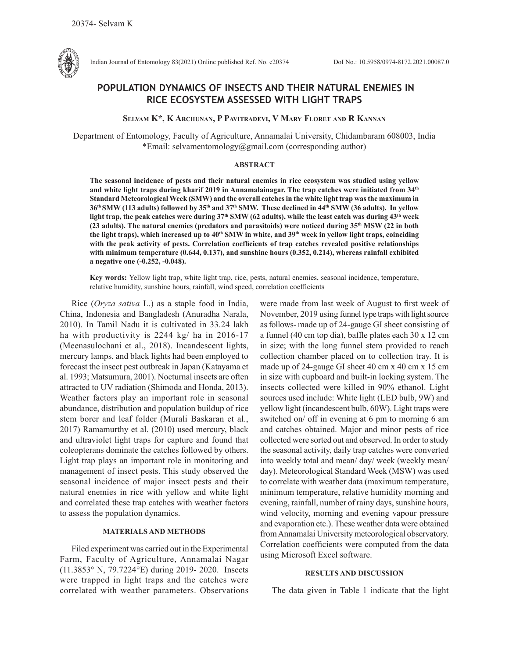

Indian Journal of Entomology 83(2021) Online published Ref. No. e20374 DoI No.: 10.5958/0974-8172.2021.00087.0

# **POPULATION DYNAMICS OF INSECTS AND THEIR NATURAL ENEMIES IN RICE ECOSYSTEM ASSESSED WITH LIGHT TRAPS**

## **Selvam K\*, K Archunan, P Pavitradevi, V Mary Floret and R Kannan**

Department of Entomology, Faculty of Agriculture, Annamalai University, Chidambaram 608003, India \*Email: selvamentomology@gmail.com (corresponding author)

## **ABSTRACT**

**The seasonal incidence of pests and their natural enemies in rice ecosystem was studied using yellow and white light traps during kharif 2019 in Annamalainagar. The trap catches were initiated from 34th Standard Meteorological Week (SMW) and the overall catches in the white light trap was the maximum in 36th SMW (113 adults) followed by 35th and 37th SMW. These declined in 44th SMW (36 adults). In yellow**  light trap, the peak catches were during 37<sup>th</sup> SMW (62 adults), while the least catch was during 43<sup>th</sup> week **(23 adults). The natural enemies (predators and parasitoids) were noticed during 35th MSW (22 in both**  the light traps), which increased up to 40<sup>th</sup> SMW in white, and 39<sup>th</sup> week in yellow light traps, coinciding **with the peak activity of pests. Correlation coefficients of trap catches revealed positive relationships with minimum temperature (0.644, 0.137), and sunshine hours (0.352, 0.214), whereas rainfall exhibited a negative one (-0.252, -0.048).** 

**Key words:** Yellow light trap, white light trap, rice, pests, natural enemies, seasonal incidence, temperature, relative humidity, sunshine hours, rainfall, wind speed, correlation coefficients

Rice (*Oryza sativa* L.) as a staple food in India, China, Indonesia and Bangladesh (Anuradha Narala, 2010). In Tamil Nadu it is cultivated in 33.24 lakh ha with productivity is 2244 kg/ ha in 2016-17 (Meenasulochani et al., 2018). Incandescent lights, mercury lamps, and black lights had been employed to forecast the insect pest outbreak in Japan (Katayama et al. 1993; Matsumura, 2001). Nocturnal insects are often attracted to UV radiation (Shimoda and Honda, 2013). Weather factors play an important role in seasonal abundance, distribution and population buildup of rice stem borer and leaf folder (Murali Baskaran et al., 2017) Ramamurthy et al. (2010) used mercury, black and ultraviolet light traps for capture and found that coleopterans dominate the catches followed by others. Light trap plays an important role in monitoring and management of insect pests. This study observed the seasonal incidence of major insect pests and their natural enemies in rice with yellow and white light and correlated these trap catches with weather factors to assess the population dynamics.

## **MATERIALS AND METHODS**

Filed experiment was carried out in the Experimental Farm, Faculty of Agriculture, Annamalai Nagar (11.3853° N, 79.7224°E) during 2019- 2020. Insects were trapped in light traps and the catches were correlated with weather parameters. Observations

were made from last week of August to first week of November, 2019 using funnel type traps with light source as follows- made up of 24-gauge GI sheet consisting of a funnel (40 cm top dia), baffle plates each 30 x 12 cm in size; with the long funnel stem provided to reach collection chamber placed on to collection tray. It is made up of 24-gauge GI sheet 40 cm x 40 cm x 15 cm in size with cupboard and built-in locking system. The insects collected were killed in 90% ethanol. Light sources used include: White light (LED bulb, 9W) and yellow light (incandescent bulb, 60W). Light traps were switched on/ off in evening at 6 pm to morning 6 am and catches obtained. Major and minor pests of rice collected were sorted out and observed. In order to study the seasonal activity, daily trap catches were converted into weekly total and mean/ day/ week (weekly mean/ day). Meteorological Standard Week (MSW) was used to correlate with weather data (maximum temperature, minimum temperature, relative humidity morning and evening, rainfall, number of rainy days, sunshine hours, wind velocity, morning and evening vapour pressure and evaporation etc.). These weather data were obtained from Annamalai University meteorological observatory. Correlation coefficients were computed from the data using Microsoft Excel software.

#### **RESULTS AND DISCUSSION**

The data given in Table 1 indicate that the light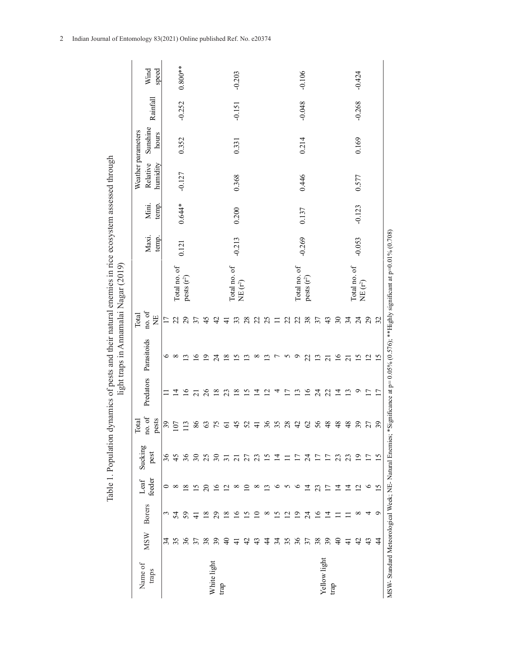|                                                                                                                                             | Wind<br>speed                                               |                 |                | $0.800**$       |                              |                            | $-0.203$                 |                |                          |                 |                |                          |          | $-0.106$                      |                      |                 |               |                 | $-0.424$       |                            |                          |                 |                                                                                                                                  |  |
|---------------------------------------------------------------------------------------------------------------------------------------------|-------------------------------------------------------------|-----------------|----------------|-----------------|------------------------------|----------------------------|--------------------------|----------------|--------------------------|-----------------|----------------|--------------------------|----------|-------------------------------|----------------------|-----------------|---------------|-----------------|----------------|----------------------------|--------------------------|-----------------|----------------------------------------------------------------------------------------------------------------------------------|--|
| Table 1. Population dynamics of pests and their natural enemies in rice ecosystem assessed through<br>light traps in Annamalai Nagar (2019) | Rainfall                                                    |                 |                | $-0.252$        |                              |                            | $-0.151$                 |                |                          |                 |                |                          |          | $-0.048$                      |                      |                 |               |                 | $-0.268$       |                            |                          |                 |                                                                                                                                  |  |
|                                                                                                                                             | Sunshine<br>Weather parameters<br>hours                     |                 |                | 0.352           | 0.331                        |                            |                          |                |                          |                 |                | 0.214                    |          |                               |                      |                 |               | 0.169           |                |                            |                          |                 |                                                                                                                                  |  |
|                                                                                                                                             | Relative<br>humidity                                        |                 |                | $-0.127$        | 0.368                        |                            |                          |                |                          |                 |                |                          | 0.446    |                               |                      |                 |               |                 | 0.577          |                            |                          |                 |                                                                                                                                  |  |
|                                                                                                                                             | Mini.<br>temp.                                              |                 |                | $0.644*$        |                              | 0.200                      |                          |                |                          |                 |                |                          |          | 0.137                         |                      |                 |               |                 | $-0.123$       |                            |                          |                 |                                                                                                                                  |  |
|                                                                                                                                             | Maxi.<br>temp.                                              |                 |                | 0.121           |                              | $-0.213$                   |                          |                |                          |                 |                |                          |          | $-0.269$                      |                      |                 |               |                 | $-0.053$       |                            |                          |                 |                                                                                                                                  |  |
|                                                                                                                                             |                                                             |                 | Total no. of   | pests $(r^2)$   |                              | Total no. of<br>NE $(r^2)$ |                          |                |                          |                 |                |                          |          | Total no. of<br>pests $(r^2)$ |                      |                 |               |                 |                | Total no. of<br>NE $(r^2)$ |                          |                 |                                                                                                                                  |  |
|                                                                                                                                             | $\mathbf{n}\mathbf{o}.\ \mathbf{o}\mathbf{f}$<br>Total<br>Ë | $\overline{17}$ | 22             | 29              |                              | 45                         | 42                       | 4              | 33                       | 28              | 22             | 25                       | ゠        | 22                            | 22                   | 38              | 37            | 43              | $30\,$         | 34                         | $\overline{24}$          | 29              | 32                                                                                                                               |  |
|                                                                                                                                             | Predators Parasitoids                                       | ৩               | ${}^{\circ}$   | $\omega$        | $\mathbf{\underline{\circ}}$ | ⊵                          | 24                       | $\infty$       | $\overline{\mathcal{L}}$ | <u>ભ</u>        | $\infty$       | ≌                        | ŗ        | 5                             | ٥                    | 22              | $\frac{3}{2}$ | $\overline{z}$  | $\frac{6}{2}$  | $\overline{21}$            | $\overline{15}$          | $\overline{2}$  | 15                                                                                                                               |  |
|                                                                                                                                             |                                                             |                 | ⋣              | $\frac{6}{1}$   | ಸ                            | $\overline{26}$            | $\frac{8}{18}$           | 23             | $\overline{18}$          | $\overline{15}$ | $\overline{4}$ | $\overline{\mathcal{C}}$ | 4        | $\overline{1}$                | $\mathbf{C}$         | $\overline{16}$ | 24            | 22              | $\vec{4}$      | $\mathbf{1}$               | Q                        | $\overline{17}$ | 17                                                                                                                               |  |
|                                                                                                                                             | no. of<br>pests<br>Total                                    | 39              | $\overline{0}$ | $\overline{13}$ | 86                           | $63\,$                     | 75                       | $\overline{6}$ | 45                       | 52              | $\overline{+}$ | 36                       | 35       | 28                            | 42                   | 62              | 56            | 48              | 48             | 48                         | 39                       | 27              | 39                                                                                                                               |  |
|                                                                                                                                             | Sucking<br>pest                                             | 36              | 45             | 36              | $\overline{\varepsilon}$     | 25                         | $\overline{\mathcal{E}}$ | $\overline{5}$ | $\overline{z}$           | 27              | 23             | $\overline{15}$          | 그        |                               | Ξ                    | $\overline{24}$ | Ξ             | $\overline{17}$ | 23             | 23                         | $\overline{6}$           | $\overline{17}$ | $\overline{\mathcal{L}}$                                                                                                         |  |
|                                                                                                                                             | feeder<br>Leaf                                              | 0               | ${}^{\circ}$   | $\approx$       | 51                           | $\overline{c}$             | $\tilde{1}^{\circ}$      | $\overline{C}$ | ∞                        | P               | $^{\circ}$     | 3                        | ٥        | n                             | ∘                    | $\vec{a}$       | 23            | ⋍               | 그              | ⋣                          | $\overline{\mathcal{C}}$ | $\circ$         | $\overline{5}$                                                                                                                   |  |
|                                                                                                                                             | <b>Borers</b>                                               | 3               | 54             | 59              | $\frac{1}{4}$                | $\overline{8}$             | 29                       | $\approx$      | ⊵                        | ΩĪ.             | 9              | $^{\circ}$               | <u>ળ</u> | $\bar{\omega}$                | ≏                    | $\overline{24}$ | ٩             | ᅼ               |                |                            | ${}^{\circ}$             | 4               | P                                                                                                                                |  |
|                                                                                                                                             | <b>MSW</b>                                                  | 34              | 35             | 36              | 37                           | 38                         | 39                       | $\overline{4}$ | $\frac{1}{4}$            | 42              | 43             | 4                        | 34       | 35                            | 36                   | 37              | 38            | 39              | $\overline{4}$ | $\frac{1}{4}$              | 42                       | 43              | $\frac{4}{4}$                                                                                                                    |  |
|                                                                                                                                             | Name of<br>traps                                            |                 |                |                 |                              |                            | White light              | trap           |                          |                 |                |                          |          |                               | Yellow light<br>trap |                 |               |                 |                |                            |                          |                 | MSW-Standard Meteorological Week; NE-Natural Enemies; *Significance at p= 0.05% (0.576); **Highly significant at p=0.01% (0.708) |  |

2 Indian Journal of Entomology 83(2021) Online published Ref. No. e20374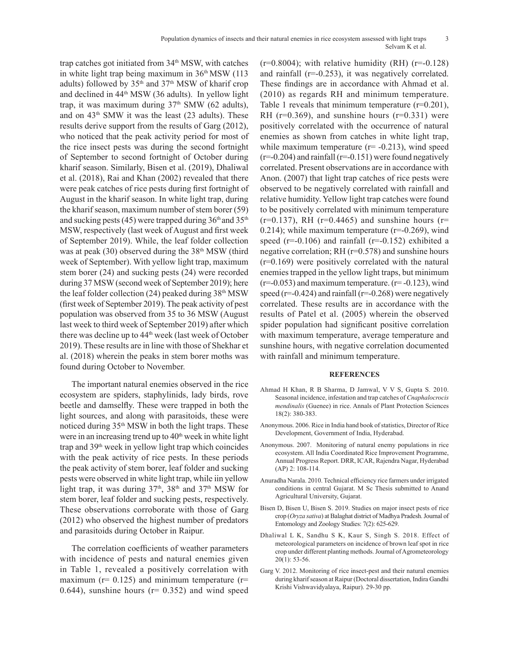trap catches got initiated from 34<sup>th</sup> MSW, with catches in white light trap being maximum in  $36<sup>th</sup> MSW$  (113) adults) followed by  $35<sup>th</sup>$  and  $37<sup>th</sup>$  MSW of kharif crop and declined in 44<sup>th</sup> MSW (36 adults). In yellow light trap, it was maximum during  $37<sup>th</sup>$  SMW (62 adults), and on  $43<sup>th</sup>$  SMW it was the least (23 adults). These results derive support from the results of Garg (2012), who noticed that the peak activity period for most of the rice insect pests was during the second fortnight of September to second fortnight of October during kharif season. Similarly, Bisen et al. (2019), Dhaliwal et al. (2018), Rai and Khan (2002) revealed that there were peak catches of rice pests during first fortnight of August in the kharif season. In white light trap, during the kharif season, maximum number of stem borer (59) and sucking pests (45) were trapped during  $36<sup>th</sup>$  and  $35<sup>th</sup>$ MSW, respectively (last week of August and first week of September 2019). While, the leaf folder collection was at peak (30) observed during the 38th MSW (third week of September). With yellow light trap, maximum stem borer (24) and sucking pests (24) were recorded during 37 MSW (second week of September 2019); here the leaf folder collection (24) peaked during  $38<sup>th</sup>$  MSW (first week of September 2019). The peak activity of pest population was observed from 35 to 36 MSW (August last week to third week of September 2019) after which there was decline up to 44<sup>th</sup> week (last week of October 2019). These results are in line with those of Shekhar et al. (2018) wherein the peaks in stem borer moths was found during October to November.

The important natural enemies observed in the rice ecosystem are spiders, staphylinids, lady birds, rove beetle and damselfly. These were trapped in both the light sources, and along with parasitoids, these were noticed during 35th MSW in both the light traps. These were in an increasing trend up to  $40<sup>th</sup>$  week in white light trap and 39<sup>th</sup> week in yellow light trap which coincides with the peak activity of rice pests. In these periods the peak activity of stem borer, leaf folder and sucking pests were observed in white light trap, while iin yellow light trap, it was during  $37<sup>th</sup>$ ,  $38<sup>th</sup>$  and  $37<sup>th</sup>$  MSW for stem borer, leaf folder and sucking pests, respectively. These observations corroborate with those of Garg (2012) who observed the highest number of predators and parasitoids during October in Raipur.

The correlation coefficients of weather parameters with incidence of pests and natural enemies given in Table 1, revealed a positively correlation with maximum ( $r= 0.125$ ) and minimum temperature ( $r=$ 0.644), sunshine hours ( $r= 0.352$ ) and wind speed

 $(r=0.8004)$ ; with relative humidity (RH)  $(r=-0.128)$ and rainfall (r=-0.253), it was negatively correlated. These findings are in accordance with Ahmad et al. (2010) as regards RH and minimum temperature. Table 1 reveals that minimum temperature  $(r=0.201)$ , RH ( $r=0.369$ ), and sunshine hours ( $r=0.331$ ) were positively correlated with the occurrence of natural enemies as shown from catches in white light trap, while maximum temperature  $(r= -0.213)$ , wind speed  $(r=-0.204)$  and rainfall  $(r=-0.151)$  were found negatively correlated. Present observations are in accordance with Anon. (2007) that light trap catches of rice pests were observed to be negatively correlated with rainfall and relative humidity. Yellow light trap catches were found to be positively correlated with minimum temperature  $(r=0.137)$ , RH  $(r=0.4465)$  and sunshine hours  $(r=$  $0.214$ ); while maximum temperature ( $r=0.269$ ), wind speed ( $r=-0.106$ ) and rainfall ( $r=-0.152$ ) exhibited a negative correlation; RH (r=0.578) and sunshine hours (r=0.169) were positively correlated with the natural enemies trapped in the yellow light traps, but minimum  $(r=-0.053)$  and maximum temperature.  $(r=-0.123)$ , wind speed ( $r=-0.424$ ) and rainfall ( $r=-0.268$ ) were negatively correlated. These results are in accordance with the results of Patel et al. (2005) wherein the observed spider population had significant positive correlation with maximum temperature, average temperature and sunshine hours, with negative correlation documented with rainfall and minimum temperature.

#### **REFERENCES**

- Ahmad H Khan, R B Sharma, D Jamwal, V V S, Gupta S. 2010. Seasonal incidence, infestation and trap catches of *Cnaphalocrocis mendinalis* (Guenee) in rice. Annals of Plant Protection Sciences 18(2): 380-383.
- Anonymous. 2006. Rice in India hand book of statistics, Director of Rice Development, Government of India, Hyderabad.
- Anonymous. 2007. Monitoring of natural enemy populations in rice ecosystem. All India Coordinated Rice Improvement Programme, Annual Progress Report. DRR, ICAR, Rajendra Nagar, Hyderabad (AP) 2: 108-114.
- Anuradha Narala. 2010. Technical efficiency rice farmers under irrigated conditions in central Gujarat. M Sc Thesis submitted to Anand Agricultural University, Gujarat.
- Bisen D, Bisen U, Bisen S. 2019. Studies on major insect pests of rice crop (*Oryza sativa*) at Balaghat district of Madhya Pradesh. Journal of Entomology and Zoology Studies: 7(2): 625-629.
- Dhaliwal L K, Sandhu S K, Kaur S, Singh S. 2018. Effect of meteorological parameters on incidence of brown leaf spot in rice crop under different planting methods. Journal of Agrometeorology 20(1): 53-56.
- Garg V. 2012. Monitoring of rice insect-pest and their natural enemies during kharif season at Raipur (Doctoral dissertation, Indira Gandhi Krishi Vishwavidyalaya, Raipur). 29-30 pp.